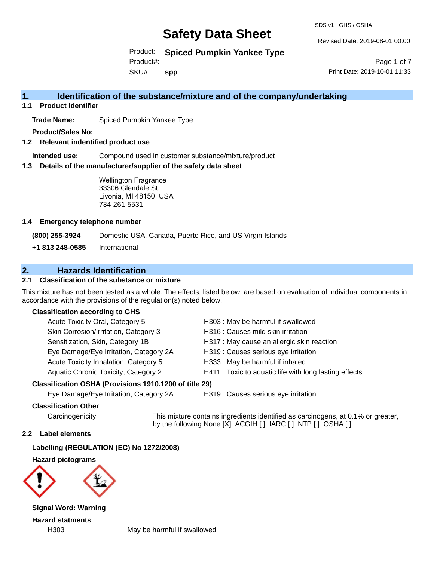SDS v1 GHS / OSHA

Revised Date: 2019-08-01 00:00

Product: **Spiced Pumpkin Yankee Type**

Product#:

SKU#: **spp**

Page 1 of 7 Print Date: 2019-10-01 11:33

### **1. Identification of the substance/mixture and of the company/undertaking**

**1.1 Product identifier**

**Trade Name:** Spiced Pumpkin Yankee Type

**Product/Sales No:**

**1.2 Relevant indentified product use**

**Intended use:** Compound used in customer substance/mixture/product

**1.3 Details of the manufacturer/supplier of the safety data sheet**

Wellington Fragrance 33306 Glendale St. Livonia, MI 48150 USA 734-261-5531

#### **1.4 Emergency telephone number**

**(800) 255-3924** Domestic USA, Canada, Puerto Rico, and US Virgin Islands

**+1 813 248-0585** International

### **2. Hazards Identification**

#### **2.1 Classification of the substance or mixture**

This mixture has not been tested as a whole. The effects, listed below, are based on evaluation of individual components in accordance with the provisions of the regulation(s) noted below.

#### **Classification according to GHS**

| Acute Toxicity Oral, Category 5        | H303 : May be harmful if swallowed                     |
|----------------------------------------|--------------------------------------------------------|
| Skin Corrosion/Irritation, Category 3  | H316 : Causes mild skin irritation                     |
| Sensitization, Skin, Category 1B       | H317 : May cause an allergic skin reaction             |
| Eye Damage/Eye Irritation, Category 2A | H319 : Causes serious eye irritation                   |
| Acute Toxicity Inhalation, Category 5  | H333: May be harmful if inhaled                        |
| Aquatic Chronic Toxicity, Category 2   | H411 : Toxic to aquatic life with long lasting effects |

#### **Classification OSHA (Provisions 1910.1200 of title 29)**

Eye Damage/Eye Irritation, Category 2A H319 : Causes serious eye irritation

#### **Classification Other**

Carcinogenicity This mixture contains ingredients identified as carcinogens, at 0.1% or greater, by the following:None [X] ACGIH [ ] IARC [ ] NTP [ ] OSHA [ ]

#### **2.2 Label elements**

**Labelling (REGULATION (EC) No 1272/2008)**

**Hazard pictograms**



**Signal Word: Warning Hazard statments**

H303 May be harmful if swallowed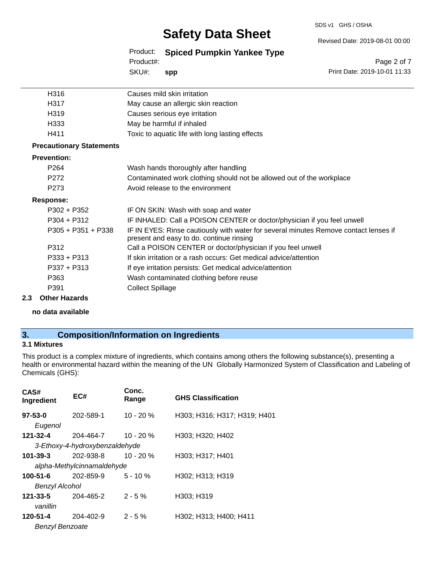#### SDS v1 GHS / OSHA

## **Safety Data Sheet**

Revised Date: 2019-08-01 00:00

Print Date: 2019-10-01 11:33

Page 2 of 7

Product: **Spiced Pumpkin Yankee Type**

SKU#: Product#: **spp**

| H316                            | Causes mild skin irritation                                                                                                      |
|---------------------------------|----------------------------------------------------------------------------------------------------------------------------------|
| H317                            | May cause an allergic skin reaction                                                                                              |
| H319                            | Causes serious eye irritation                                                                                                    |
| H333                            | May be harmful if inhaled                                                                                                        |
| H411                            | Toxic to aquatic life with long lasting effects                                                                                  |
| <b>Precautionary Statements</b> |                                                                                                                                  |
| <b>Prevention:</b>              |                                                                                                                                  |
| P <sub>264</sub>                | Wash hands thoroughly after handling                                                                                             |
| P <sub>272</sub>                | Contaminated work clothing should not be allowed out of the workplace                                                            |
| P <sub>273</sub>                | Avoid release to the environment                                                                                                 |
| <b>Response:</b>                |                                                                                                                                  |
| $P302 + P352$                   | IF ON SKIN: Wash with soap and water                                                                                             |
| $P304 + P312$                   | IF INHALED: Call a POISON CENTER or doctor/physician if you feel unwell                                                          |
| $P305 + P351 + P338$            | IF IN EYES: Rinse cautiously with water for several minutes Remove contact lenses if<br>present and easy to do. continue rinsing |
| P312                            | Call a POISON CENTER or doctor/physician if you feel unwell                                                                      |
| $P333 + P313$                   | If skin irritation or a rash occurs: Get medical advice/attention                                                                |
| $P337 + P313$                   | If eye irritation persists: Get medical advice/attention                                                                         |
| P363                            | Wash contaminated clothing before reuse                                                                                          |
| P391                            | <b>Collect Spillage</b>                                                                                                          |
|                                 |                                                                                                                                  |

#### **2.3 Other Hazards**

**no data available**

### **3. Composition/Information on Ingredients**

#### **3.1 Mixtures**

This product is a complex mixture of ingredients, which contains among others the following substance(s), presenting a health or environmental hazard within the meaning of the UN Globally Harmonized System of Classification and Labeling of Chemicals (GHS):

| EC#                    | Conc.<br>Range | <b>GHS Classification</b>                                    |
|------------------------|----------------|--------------------------------------------------------------|
| 202-589-1              | $10 - 20%$     | H303; H316; H317; H319; H401                                 |
|                        |                |                                                              |
| 204-464-7              | $10 - 20%$     | H303; H320; H402                                             |
|                        |                |                                                              |
| 202-938-8              | $10 - 20 %$    | H303; H317; H401                                             |
|                        |                |                                                              |
| 202-859-9              | $5 - 10%$      | H302; H313; H319                                             |
| Benzyl Alcohol         |                |                                                              |
| 204-465-2              | $2 - 5%$       | H303; H319                                                   |
|                        |                |                                                              |
| 204-402-9              | $2 - 5%$       | H302; H313; H400; H411                                       |
| <b>Benzyl Benzoate</b> |                |                                                              |
|                        |                | 3-Ethoxy-4-hydroxybenzaldehyde<br>alpha-Methylcinnamaldehyde |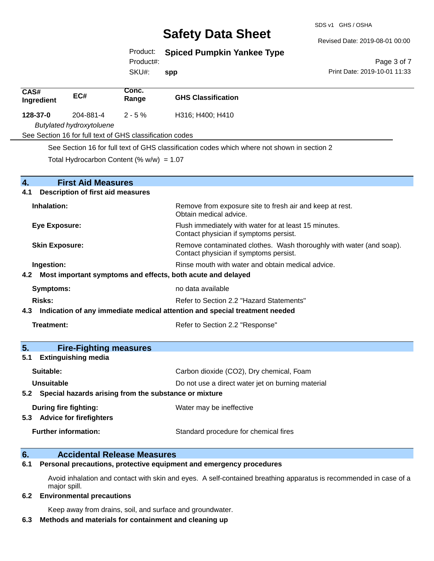SDS v1 GHS / OSHA

Revised Date: 2019-08-01 00:00

Print Date: 2019-10-01 11:33

Page 3 of 7

Product: **Spiced Pumpkin Yankee Type**

Product#:

SKU#: **spp**

| CAS#                                                                           | Ingredient                                                      | EC#                                                      | Conc.<br>Range                           | <b>GHS Classification</b>                                                                                     |  |
|--------------------------------------------------------------------------------|-----------------------------------------------------------------|----------------------------------------------------------|------------------------------------------|---------------------------------------------------------------------------------------------------------------|--|
| 128-37-0                                                                       |                                                                 | 204-881-4                                                | $2 - 5%$                                 | H316; H400; H410                                                                                              |  |
|                                                                                |                                                                 | <b>Butylated hydroxytoluene</b>                          |                                          |                                                                                                               |  |
|                                                                                |                                                                 | See Section 16 for full text of GHS classification codes |                                          |                                                                                                               |  |
|                                                                                |                                                                 |                                                          |                                          | See Section 16 for full text of GHS classification codes which where not shown in section 2                   |  |
|                                                                                |                                                                 | Total Hydrocarbon Content (% $w/w$ ) = 1.07              |                                          |                                                                                                               |  |
| $\overline{4}$ .                                                               |                                                                 | <b>First Aid Measures</b>                                |                                          |                                                                                                               |  |
| 4.1                                                                            |                                                                 | <b>Description of first aid measures</b>                 |                                          |                                                                                                               |  |
|                                                                                | Inhalation:                                                     |                                                          |                                          | Remove from exposure site to fresh air and keep at rest.<br>Obtain medical advice.                            |  |
|                                                                                | <b>Eye Exposure:</b>                                            |                                                          |                                          | Flush immediately with water for at least 15 minutes.<br>Contact physician if symptoms persist.               |  |
|                                                                                | <b>Skin Exposure:</b>                                           |                                                          |                                          | Remove contaminated clothes. Wash thoroughly with water (and soap).<br>Contact physician if symptoms persist. |  |
|                                                                                | Rinse mouth with water and obtain medical advice.<br>Ingestion: |                                                          |                                          |                                                                                                               |  |
|                                                                                |                                                                 |                                                          |                                          | 4.2 Most important symptoms and effects, both acute and delayed                                               |  |
|                                                                                | <b>Symptoms:</b>                                                |                                                          |                                          | no data available                                                                                             |  |
| <b>Risks:</b>                                                                  |                                                                 |                                                          | Refer to Section 2.2 "Hazard Statements" |                                                                                                               |  |
| 4.3 Indication of any immediate medical attention and special treatment needed |                                                                 |                                                          |                                          |                                                                                                               |  |
|                                                                                | Treatment:                                                      |                                                          |                                          | Refer to Section 2.2 "Response"                                                                               |  |
| 5 <sub>1</sub>                                                                 |                                                                 | <b>Fire-Fighting measures</b>                            |                                          |                                                                                                               |  |
| 5.1                                                                            |                                                                 | <b>Extinguishing media</b>                               |                                          |                                                                                                               |  |
|                                                                                | Suitable:                                                       |                                                          |                                          | Carbon dioxide (CO2), Dry chemical, Foam                                                                      |  |
|                                                                                | Unsuitable                                                      |                                                          |                                          | Do not use a direct water jet on burning material                                                             |  |
|                                                                                |                                                                 |                                                          |                                          | 5.2 Special hazards arising from the substance or mixture                                                     |  |
|                                                                                |                                                                 | <b>During fire fighting:</b>                             |                                          | Water may be ineffective                                                                                      |  |
|                                                                                |                                                                 | 5.3 Advice for firefighters                              |                                          |                                                                                                               |  |
|                                                                                |                                                                 | <b>Further information:</b>                              |                                          | Standard procedure for chemical fires                                                                         |  |

#### **6. Accidental Release Measures**

**6.1 Personal precautions, protective equipment and emergency procedures**

Avoid inhalation and contact with skin and eyes. A self-contained breathing apparatus is recommended in case of a major spill.

#### **6.2 Environmental precautions**

Keep away from drains, soil, and surface and groundwater.

#### **6.3 Methods and materials for containment and cleaning up**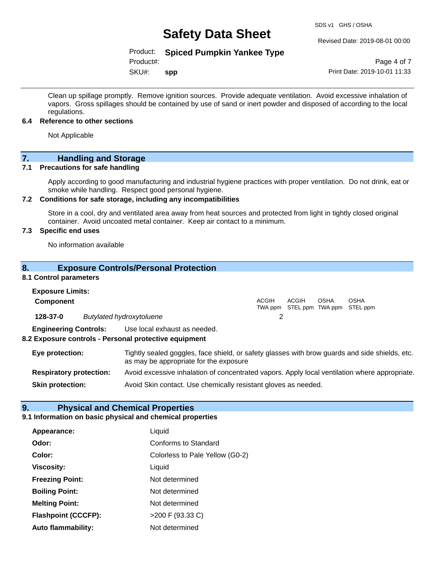SDS v1 GHS / OSHA

Revised Date: 2019-08-01 00:00

### Product: **Spiced Pumpkin Yankee Type**

Product#:

SKU#: **spp**

Page 4 of 7 Print Date: 2019-10-01 11:33

Clean up spillage promptly. Remove ignition sources. Provide adequate ventilation. Avoid excessive inhalation of vapors. Gross spillages should be contained by use of sand or inert powder and disposed of according to the local regulations.

#### **6.4 Reference to other sections**

Not Applicable

# **7.** Handling and Storage<br> **7.1** Precautions for safe handling

#### **Precautions for safe handling**

Apply according to good manufacturing and industrial hygiene practices with proper ventilation. Do not drink, eat or smoke while handling. Respect good personal hygiene.

#### **7.2 Conditions for safe storage, including any incompatibilities**

Store in a cool, dry and ventilated area away from heat sources and protected from light in tightly closed original container. Avoid uncoated metal container. Keep air contact to a minimum.

#### **7.3 Specific end uses**

No information available

#### **8. Exposure Controls/Personal Protection**

#### **8.1 Control parameters**

| <b>Exposure Limits:</b>        |                                                                                                                                          |       |       |      |                                           |  |
|--------------------------------|------------------------------------------------------------------------------------------------------------------------------------------|-------|-------|------|-------------------------------------------|--|
| <b>Component</b>               |                                                                                                                                          | ACGIH | ACGIH | OSHA | OSHA<br>TWA ppm STEL ppm TWA ppm STEL ppm |  |
| 128-37-0                       | <b>Butylated hydroxytoluene</b>                                                                                                          | 2     |       |      |                                           |  |
| <b>Engineering Controls:</b>   | Use local exhaust as needed.<br>8.2 Exposure controls - Personal protective equipment                                                    |       |       |      |                                           |  |
| Eye protection:                | Tightly sealed goggles, face shield, or safety glasses with brow guards and side shields, etc.<br>as may be appropriate for the exposure |       |       |      |                                           |  |
| <b>Respiratory protection:</b> | Avoid excessive inhalation of concentrated vapors. Apply local ventilation where appropriate.                                            |       |       |      |                                           |  |
| <b>Skin protection:</b>        | Avoid Skin contact. Use chemically resistant gloves as needed.                                                                           |       |       |      |                                           |  |

#### **9. Physical and Chemical Properties**

#### **9.1 Information on basic physical and chemical properties**

| Appearance:                | Liquid                          |
|----------------------------|---------------------------------|
| Odor:                      | <b>Conforms to Standard</b>     |
| Color:                     | Colorless to Pale Yellow (G0-2) |
| <b>Viscosity:</b>          | Liquid                          |
| <b>Freezing Point:</b>     | Not determined                  |
| <b>Boiling Point:</b>      | Not determined                  |
| <b>Melting Point:</b>      | Not determined                  |
| <b>Flashpoint (CCCFP):</b> | >200 F (93.33 C)                |
| <b>Auto flammability:</b>  | Not determined                  |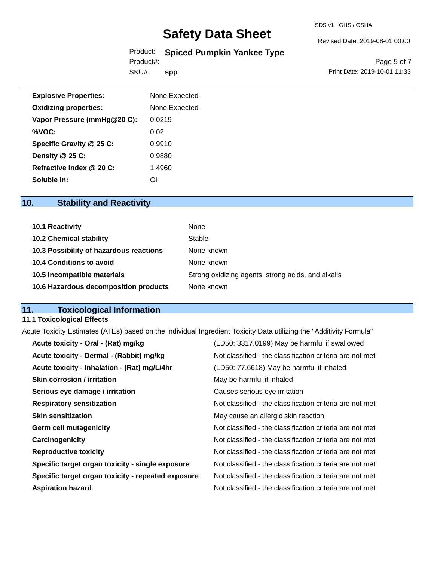#### SDS v1 GHS / OSHA

## **Safety Data Sheet**

### Product: **Spiced Pumpkin Yankee Type**

SKU#: Product#: **spp** Revised Date: 2019-08-01 00:00

Page 5 of 7 Print Date: 2019-10-01 11:33

| <b>Explosive Properties:</b> | None Expected |
|------------------------------|---------------|
| <b>Oxidizing properties:</b> | None Expected |
| Vapor Pressure (mmHg@20 C):  | 0.0219        |
| %VOC:                        | 0.02          |
| Specific Gravity @ 25 C:     | 0.9910        |
| Density @ 25 C:              | 0.9880        |
| Refractive Index @ 20 C:     | 1.4960        |
| Soluble in:                  | Oil           |

### **10. Stability and Reactivity**

| 10.1 Reactivity                         | None                                               |
|-----------------------------------------|----------------------------------------------------|
| <b>10.2 Chemical stability</b>          | Stable                                             |
| 10.3 Possibility of hazardous reactions | None known                                         |
| <b>10.4 Conditions to avoid</b>         | None known                                         |
| 10.5 Incompatible materials             | Strong oxidizing agents, strong acids, and alkalis |
| 10.6 Hazardous decomposition products   | None known                                         |

## **11. Toxicological Information**

#### **11.1 Toxicological Effects**

Acute Toxicity Estimates (ATEs) based on the individual Ingredient Toxicity Data utilizing the "Additivity Formula"

| Acute toxicity - Oral - (Rat) mg/kg                | (LD50: 3317.0199) May be harmful if swallowed            |
|----------------------------------------------------|----------------------------------------------------------|
| Acute toxicity - Dermal - (Rabbit) mg/kg           | Not classified - the classification criteria are not met |
| Acute toxicity - Inhalation - (Rat) mg/L/4hr       | (LD50: 77.6618) May be harmful if inhaled                |
| <b>Skin corrosion / irritation</b>                 | May be harmful if inhaled                                |
| Serious eye damage / irritation                    | Causes serious eye irritation                            |
| <b>Respiratory sensitization</b>                   | Not classified - the classification criteria are not met |
| <b>Skin sensitization</b>                          | May cause an allergic skin reaction                      |
| <b>Germ cell mutagenicity</b>                      | Not classified - the classification criteria are not met |
| Carcinogenicity                                    | Not classified - the classification criteria are not met |
| <b>Reproductive toxicity</b>                       | Not classified - the classification criteria are not met |
| Specific target organ toxicity - single exposure   | Not classified - the classification criteria are not met |
| Specific target organ toxicity - repeated exposure | Not classified - the classification criteria are not met |
| <b>Aspiration hazard</b>                           | Not classified - the classification criteria are not met |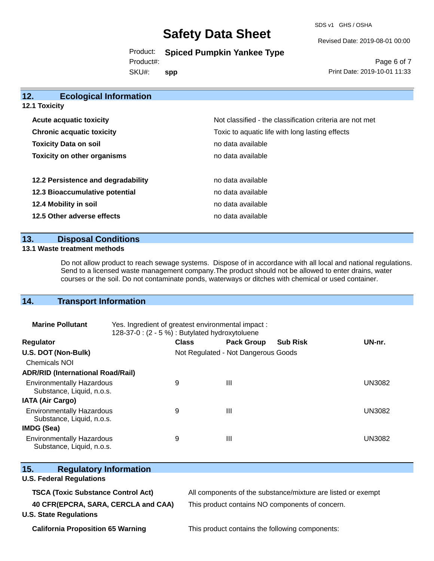SDS v1 GHS / OSHA

Revised Date: 2019-08-01 00:00

Product: **Spiced Pumpkin Yankee Type**

Product#:

SKU#: **spp**

Page 6 of 7 Print Date: 2019-10-01 11:33

| 12.<br><b>Ecological Information</b> |                                                          |
|--------------------------------------|----------------------------------------------------------|
| <b>12.1 Toxicity</b>                 |                                                          |
| <b>Acute acquatic toxicity</b>       | Not classified - the classification criteria are not met |
| <b>Chronic acquatic toxicity</b>     | Toxic to aquatic life with long lasting effects          |
| <b>Toxicity Data on soil</b>         | no data available                                        |
| <b>Toxicity on other organisms</b>   | no data available                                        |
| 12.2 Persistence and degradability   | no data available                                        |
| 12.3 Bioaccumulative potential       | no data available                                        |
| 12.4 Mobility in soil                | no data available                                        |
| 12.5 Other adverse effects           | no data available.                                       |

#### **13. Disposal Conditions**

#### **13.1 Waste treatment methods**

Do not allow product to reach sewage systems. Dispose of in accordance with all local and national regulations. Send to a licensed waste management company.The product should not be allowed to enter drains, water courses or the soil. Do not contaminate ponds, waterways or ditches with chemical or used container.

### **14. Transport Information**

| <b>Marine Pollutant</b>                                       | Yes. Ingredient of greatest environmental impact:<br>128-37-0 : (2 - 5 %) : Butylated hydroxytoluene |                                     |                   |                 |               |
|---------------------------------------------------------------|------------------------------------------------------------------------------------------------------|-------------------------------------|-------------------|-----------------|---------------|
| <b>Regulator</b>                                              |                                                                                                      | <b>Class</b>                        | <b>Pack Group</b> | <b>Sub Risk</b> | UN-nr.        |
| U.S. DOT (Non-Bulk)                                           |                                                                                                      | Not Regulated - Not Dangerous Goods |                   |                 |               |
| <b>Chemicals NOI</b>                                          |                                                                                                      |                                     |                   |                 |               |
| <b>ADR/RID (International Road/Rail)</b>                      |                                                                                                      |                                     |                   |                 |               |
| <b>Environmentally Hazardous</b><br>Substance, Liquid, n.o.s. |                                                                                                      | 9                                   | Ш                 |                 | <b>UN3082</b> |
| <b>IATA (Air Cargo)</b>                                       |                                                                                                      |                                     |                   |                 |               |
| <b>Environmentally Hazardous</b><br>Substance, Liquid, n.o.s. |                                                                                                      | 9                                   | Ш                 |                 | <b>UN3082</b> |
| <b>IMDG (Sea)</b>                                             |                                                                                                      |                                     |                   |                 |               |
| <b>Environmentally Hazardous</b><br>Substance, Liquid, n.o.s. |                                                                                                      | 9                                   | Ш                 |                 | <b>UN3082</b> |

| Substance, Liquid, n.o.s.                 |                                                              |
|-------------------------------------------|--------------------------------------------------------------|
| 15.<br><b>Regulatory Information</b>      |                                                              |
| <b>U.S. Federal Regulations</b>           |                                                              |
| <b>TSCA (Toxic Substance Control Act)</b> | All components of the substance/mixture are listed or exempt |
| 40 CFR(EPCRA, SARA, CERCLA and CAA)       | This product contains NO components of concern.              |
| <b>U.S. State Regulations</b>             |                                                              |
|                                           |                                                              |

**California Proposition 65 Warning This product contains the following components:**